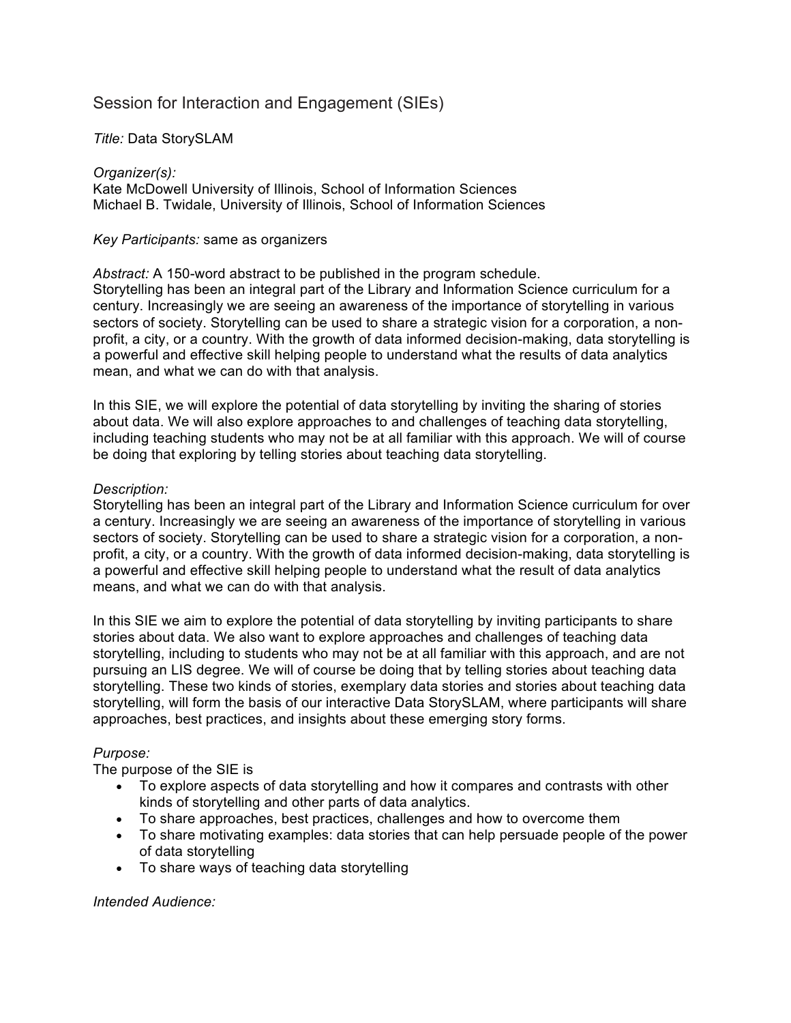# Session for Interaction and Engagement (SIEs)

## *Title:* Data StorySLAM

#### *Organizer(s):*

Kate McDowell University of Illinois, School of Information Sciences Michael B. Twidale, University of Illinois, School of Information Sciences

### *Key Participants:* same as organizers

*Abstract:* A 150-word abstract to be published in the program schedule. Storytelling has been an integral part of the Library and Information Science curriculum for a century. Increasingly we are seeing an awareness of the importance of storytelling in various sectors of society. Storytelling can be used to share a strategic vision for a corporation, a nonprofit, a city, or a country. With the growth of data informed decision-making, data storytelling is a powerful and effective skill helping people to understand what the results of data analytics mean, and what we can do with that analysis.

In this SIE, we will explore the potential of data storytelling by inviting the sharing of stories about data. We will also explore approaches to and challenges of teaching data storytelling, including teaching students who may not be at all familiar with this approach. We will of course be doing that exploring by telling stories about teaching data storytelling.

### *Description:*

Storytelling has been an integral part of the Library and Information Science curriculum for over a century. Increasingly we are seeing an awareness of the importance of storytelling in various sectors of society. Storytelling can be used to share a strategic vision for a corporation, a nonprofit, a city, or a country. With the growth of data informed decision-making, data storytelling is a powerful and effective skill helping people to understand what the result of data analytics means, and what we can do with that analysis.

In this SIE we aim to explore the potential of data storytelling by inviting participants to share stories about data. We also want to explore approaches and challenges of teaching data storytelling, including to students who may not be at all familiar with this approach, and are not pursuing an LIS degree. We will of course be doing that by telling stories about teaching data storytelling. These two kinds of stories, exemplary data stories and stories about teaching data storytelling, will form the basis of our interactive Data StorySLAM, where participants will share approaches, best practices, and insights about these emerging story forms.

## *Purpose:*

The purpose of the SIE is

- To explore aspects of data storytelling and how it compares and contrasts with other kinds of storytelling and other parts of data analytics.
- To share approaches, best practices, challenges and how to overcome them
- To share motivating examples: data stories that can help persuade people of the power of data storytelling
- To share ways of teaching data storytelling

## *Intended Audience:*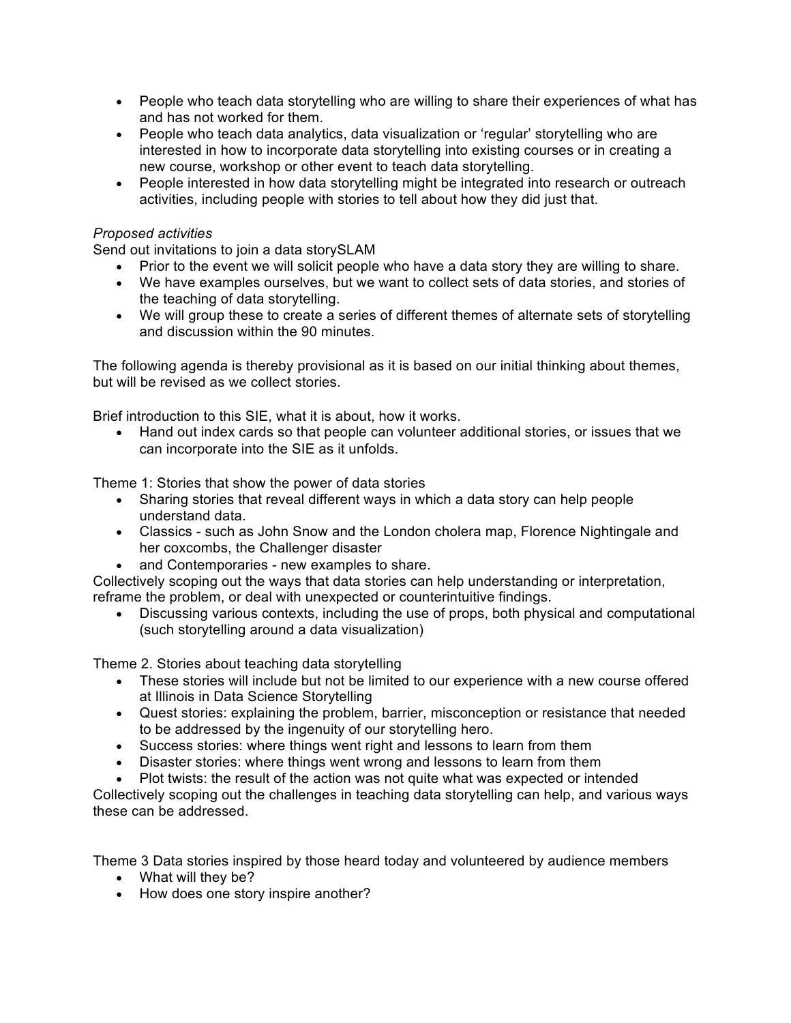- People who teach data storytelling who are willing to share their experiences of what has and has not worked for them.
- People who teach data analytics, data visualization or 'regular' storytelling who are interested in how to incorporate data storytelling into existing courses or in creating a new course, workshop or other event to teach data storytelling.
- People interested in how data storytelling might be integrated into research or outreach activities, including people with stories to tell about how they did just that.

## *Proposed activities*

Send out invitations to join a data storySLAM

- Prior to the event we will solicit people who have a data story they are willing to share.
- We have examples ourselves, but we want to collect sets of data stories, and stories of the teaching of data storytelling.
- We will group these to create a series of different themes of alternate sets of storytelling and discussion within the 90 minutes.

The following agenda is thereby provisional as it is based on our initial thinking about themes, but will be revised as we collect stories.

Brief introduction to this SIE, what it is about, how it works.

• Hand out index cards so that people can volunteer additional stories, or issues that we can incorporate into the SIE as it unfolds.

Theme 1: Stories that show the power of data stories

- Sharing stories that reveal different ways in which a data story can help people understand data.
- Classics such as John Snow and the London cholera map, Florence Nightingale and her coxcombs, the Challenger disaster
- and Contemporaries new examples to share.

Collectively scoping out the ways that data stories can help understanding or interpretation, reframe the problem, or deal with unexpected or counterintuitive findings.

• Discussing various contexts, including the use of props, both physical and computational (such storytelling around a data visualization)

Theme 2. Stories about teaching data storytelling

- These stories will include but not be limited to our experience with a new course offered at Illinois in Data Science Storytelling
- Quest stories: explaining the problem, barrier, misconception or resistance that needed to be addressed by the ingenuity of our storytelling hero.
- Success stories: where things went right and lessons to learn from them
- Disaster stories: where things went wrong and lessons to learn from them
- Plot twists: the result of the action was not quite what was expected or intended

Collectively scoping out the challenges in teaching data storytelling can help, and various ways these can be addressed.

Theme 3 Data stories inspired by those heard today and volunteered by audience members

- What will they be?
- How does one story inspire another?